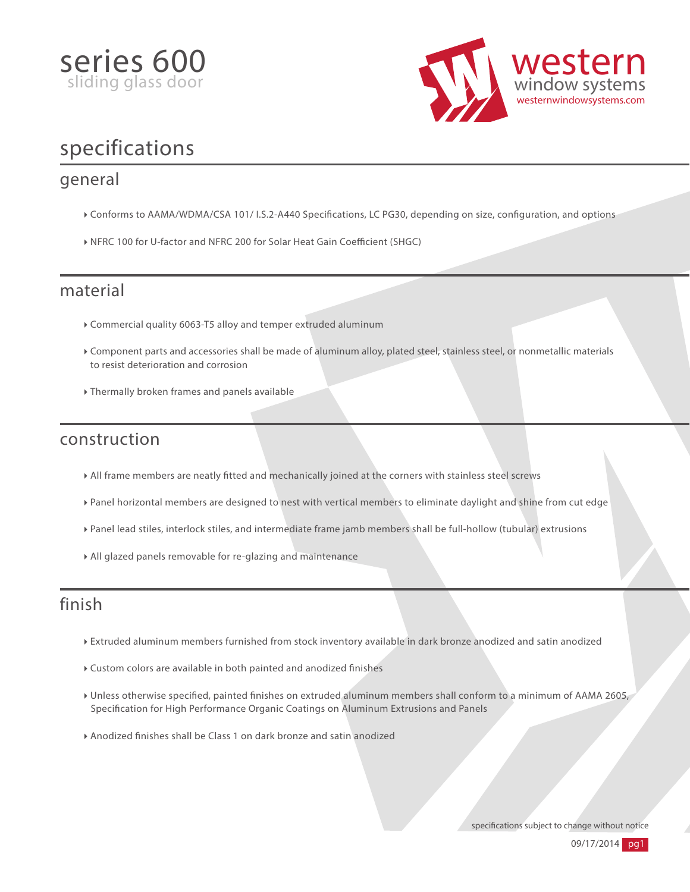



## specifications

#### general

- ▶ Conforms to AAMA/WDMA/CSA 101/ I.S.2-A440 Specifications, LC PG30, depending on size, configuration, and options
- ▶ NFRC 100 for U-factor and NFRC 200 for Solar Heat Gain Coefficient (SHGC)

#### material

- Commercial quality 6063-T5 alloy and temper extruded aluminum
- Component parts and accessories shall be made of aluminum alloy, plated steel, stainless steel, or nonmetallic materials to resist deterioration and corrosion
- Thermally broken frames and panels available

### construction

- All frame members are neatly tted and mechanically joined at the corners with stainless steel screws
- Panel horizontal members are designed to nest with vertical members to eliminate daylight and shine from cut edge
- Panel lead stiles, interlock stiles, and intermediate frame jamb members shall be full-hollow (tubular) extrusions
- All glazed panels removable for re-glazing and maintenance

### finish

- Extruded aluminum members furnished from stock inventory available in dark bronze anodized and satin anodized
- Custom colors are available in both painted and anodized finishes
- I Unless otherwise specified, painted finishes on extruded aluminum members shall conform to a minimum of AAMA 2605, Specification for High Performance Organic Coatings on Aluminum Extrusions and Panels
- Anodized nishes shall be Class 1 on dark bronze and satin anodized

specifications subject to change without notice

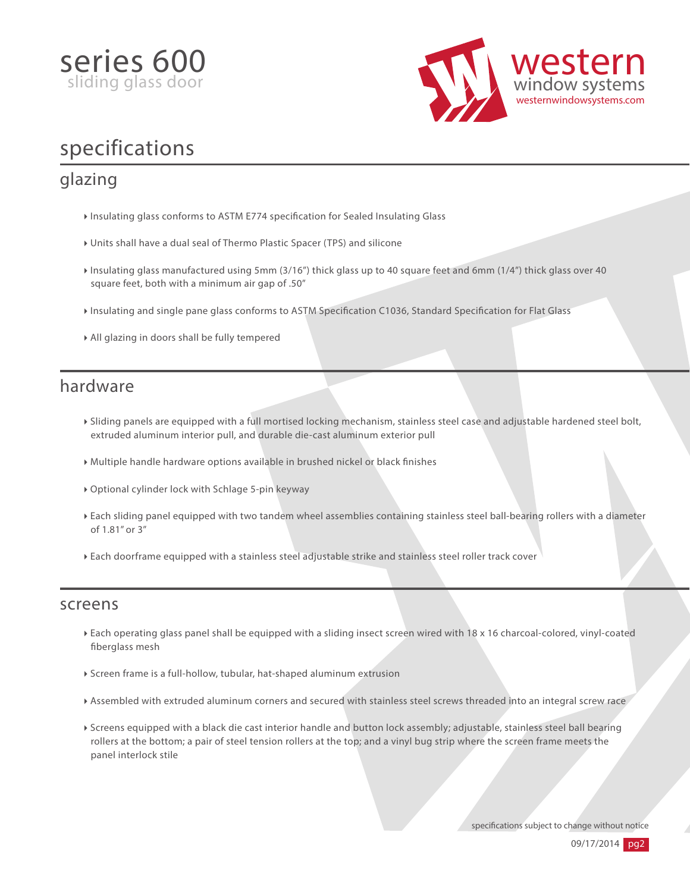



## specifications

### glazing

- Insulating glass conforms to ASTM E774 specification for Sealed Insulating Glass
- Units shall have a dual seal of Thermo Plastic Spacer (TPS) and silicone
- Insulating glass manufactured using 5mm (3/16") thick glass up to 40 square feet and 6mm (1/4") thick glass over 40 square feet, both with a minimum air gap of .50"
- Insulating and single pane glass conforms to ASTM Specification C1036, Standard Specification for Flat Glass
- All glazing in doors shall be fully tempered

#### hardware

- Sliding panels are equipped with a full mortised locking mechanism, stainless steel case and adjustable hardened steel bolt, extruded aluminum interior pull, and durable die-cast aluminum exterior pull
- $\triangleright$  Multiple handle hardware options available in brushed nickel or black finishes
- Optional cylinder lock with Schlage 5-pin keyway
- Each sliding panel equipped with two tandem wheel assemblies containing stainless steel ball-bearing rollers with a diameter of 1.81" or 3"
- Each doorframe equipped with a stainless steel adjustable strike and stainless steel roller track cover

#### screens

- Each operating glass panel shall be equipped with a sliding insect screen wired with 18 x 16 charcoal-colored, vinyl-coated berglass mesh
- Screen frame is a full-hollow, tubular, hat-shaped aluminum extrusion
- Assembled with extruded aluminum corners and secured with stainless steel screws threaded into an integral screw race
- Screens equipped with a black die cast interior handle and button lock assembly; adjustable, stainless steel ball bearing rollers at the bottom; a pair of steel tension rollers at the top; and a vinyl bug strip where the screen frame meets the panel interlock stile

specifications subject to change without notice